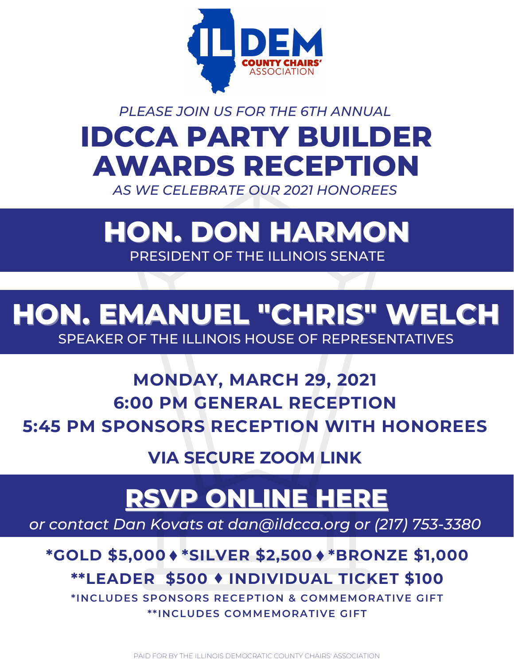

## **IDCCA PARTY BUILDER AWARDS RECEPTION** *PLEASE JOIN US FOR THE 6TH ANNUAL*

*AS WE CELEBRATE OUR 2021 HONOREES*

## **HON. DON HARMON** PRESIDENT OF THE ILLINOIS SENATE

#### **HON. EMANUEL "CHRIS" WELCH** SPEAKER OF THE ILLINOIS HOUSE OF REPRESENTATIVES

### **MONDAY, MARCH 29, 2021 6:00 PM GENERAL RECEPTION 5:45 PM SPONSORS RECEPTION WITH HONOREES**

**VIA [SECURE](https://goo.gl/maps/zydvo7uu4pR2) ZOOM LINK**

# **RSVP [ONLINE](https://secure.actblue.com/donate/partybuilder03292021) HERE**

*or contact Dan Kovats at [dan@ildcca.org](http://ildcca.org/) or (217) 753-3380*

#### **\*GOLD \$5,000 \*SILVER \$2,500 \*BRONZE \$1,000 \*\*LEADER \$500 [INDIVIDUAL](https://secure.actblue.com/donate/chireception2019) TICKET \$100**

**\* INCLUDES SPONSORS RECEPTION & COMMEMORATIVE GIFT \* \* INCLUDES COMMEMORATIVE GIFT**

PAID FOR BY THE ILLINOIS DEMOCRATIC COUNTY CHAIRS' ASSOCIATION